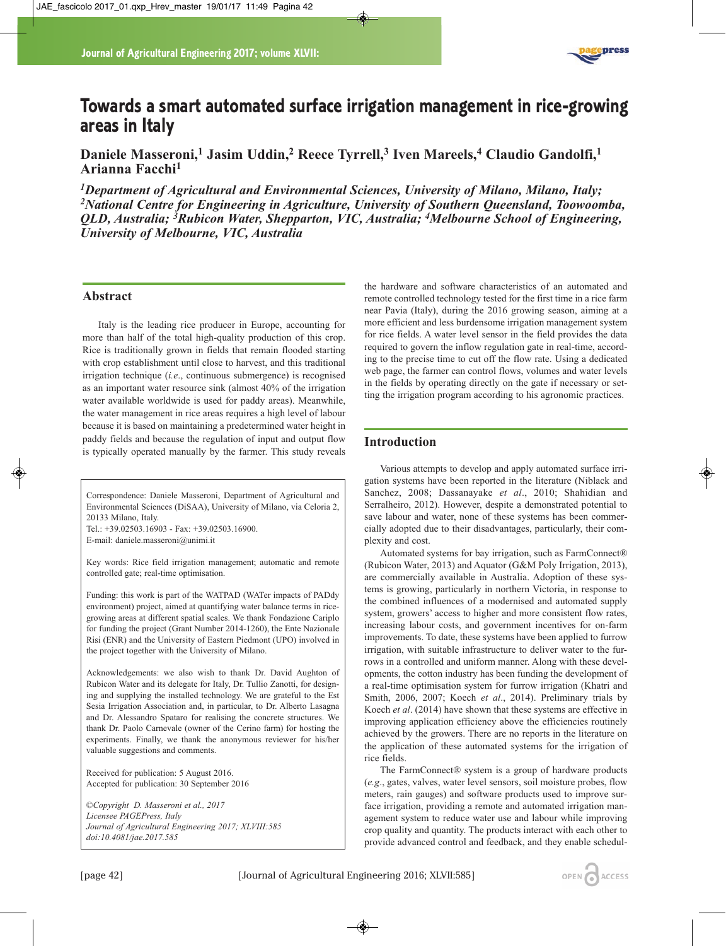

# **Towards a smart automated surface irrigation management in rice-growing areas in Italy**

**Daniele Masseroni,1 Jasim Uddin,2 Reece Tyrrell,3 Iven Mareels,4 Claudio Gandolfi,1 Arianna Facchi1**

*1Department of Agricultural and Environmental Sciences, University of Milano, Milano, Italy; 2National Centre for Engineering in Agriculture, University of Southern Queensland, Toowoomba, QLD, Australia; 3Rubicon Water, Shepparton, VIC, Australia; 4Melbourne School of Engineering, University of Melbourne, VIC, Australia*

## **Abstract**

Italy is the leading rice producer in Europe, accounting for more than half of the total high-quality production of this crop. Rice is traditionally grown in fields that remain flooded starting with crop establishment until close to harvest, and this traditional irrigation technique (*i.e*., continuous submergence) is recognised as an important water resource sink (almost 40% of the irrigation water available worldwide is used for paddy areas). Meanwhile, the water management in rice areas requires a high level of labour because it is based on maintaining a predetermined water height in paddy fields and because the regulation of input and output flow is typically operated manually by the farmer. This study reveals

Correspondence: Daniele Masseroni, Department of Agricultural and Environmental Sciences (DiSAA), University of Milano, via Celoria 2, 20133 Milano, Italy.

Tel.: +39.02503.16903 - Fax: +39.02503.16900. E-mail: daniele.masseroni@unimi.it

Key words: Rice field irrigation management; automatic and remote controlled gate; real-time optimisation.

Funding: this work is part of the WATPAD (WATer impacts of PADdy environment) project, aimed at quantifying water balance terms in ricegrowing areas at different spatial scales. We thank Fondazione Cariplo for funding the project (Grant Number 2014-1260), the Ente Nazionale Risi (ENR) and the University of Eastern Piedmont (UPO) involved in the project together with the University of Milano.

Acknowledgements: we also wish to thank Dr. David Aughton of Rubicon Water and its delegate for Italy, Dr. Tullio Zanotti, for designing and supplying the installed technology. We are grateful to the Est Sesia Irrigation Association and, in particular, to Dr. Alberto Lasagna and Dr. Alessandro Spataro for realising the concrete structures. We thank Dr. Paolo Carnevale (owner of the Cerino farm) for hosting the experiments. Finally, we thank the anonymous reviewer for his/her valuable suggestions and comments.

Received for publication: 5 August 2016. Accepted for publication: 30 September 2016

*©Copyright D. Masseroni et al., 2017 Licensee PAGEPress, Italy Journal of Agricultural Engineering 2017; XLVIII:585 doi:10.4081/jae.2017.585*

the hardware and software characteristics of an automated and remote controlled technology tested for the first time in a rice farm near Pavia (Italy), during the 2016 growing season, aiming at a more efficient and less burdensome irrigation management system for rice fields. A water level sensor in the field provides the data required to govern the inflow regulation gate in real-time, according to the precise time to cut off the flow rate. Using a dedicated web page, the farmer can control flows, volumes and water levels in the fields by operating directly on the gate if necessary or setting the irrigation program according to his agronomic practices.

# **Introduction**

Various attempts to develop and apply automated surface irrigation systems have been reported in the literature (Niblack and Sanchez, 2008; Dassanayake *et al*., 2010; Shahidian and Serralheiro, 2012). However, despite a demonstrated potential to save labour and water, none of these systems has been commercially adopted due to their disadvantages, particularly, their complexity and cost.

Automated systems for bay irrigation, such as FarmConnect® (Rubicon Water, 2013) and Aquator (G&M Poly Irrigation, 2013), are commercially available in Australia. Adoption of these systems is growing, particularly in northern Victoria, in response to the combined influences of a modernised and automated supply system, growers' access to higher and more consistent flow rates, increasing labour costs, and government incentives for on-farm improvements. To date, these systems have been applied to furrow irrigation, with suitable infrastructure to deliver water to the furrows in a controlled and uniform manner. Along with these developments, the cotton industry has been funding the development of a real-time optimisation system for furrow irrigation (Khatri and Smith, 2006, 2007; Koech *et al*., 2014). Preliminary trials by Koech *et al*. (2014) have shown that these systems are effective in improving application efficiency above the efficiencies routinely achieved by the growers. There are no reports in the literature on the application of these automated systems for the irrigation of rice fields.

The FarmConnect® system is a group of hardware products (*e.g*., gates, valves, water level sensors, soil moisture probes, flow meters, rain gauges) and software products used to improve surface irrigation, providing a remote and automated irrigation management system to reduce water use and labour while improving crop quality and quantity. The products interact with each other to provide advanced control and feedback, and they enable schedul-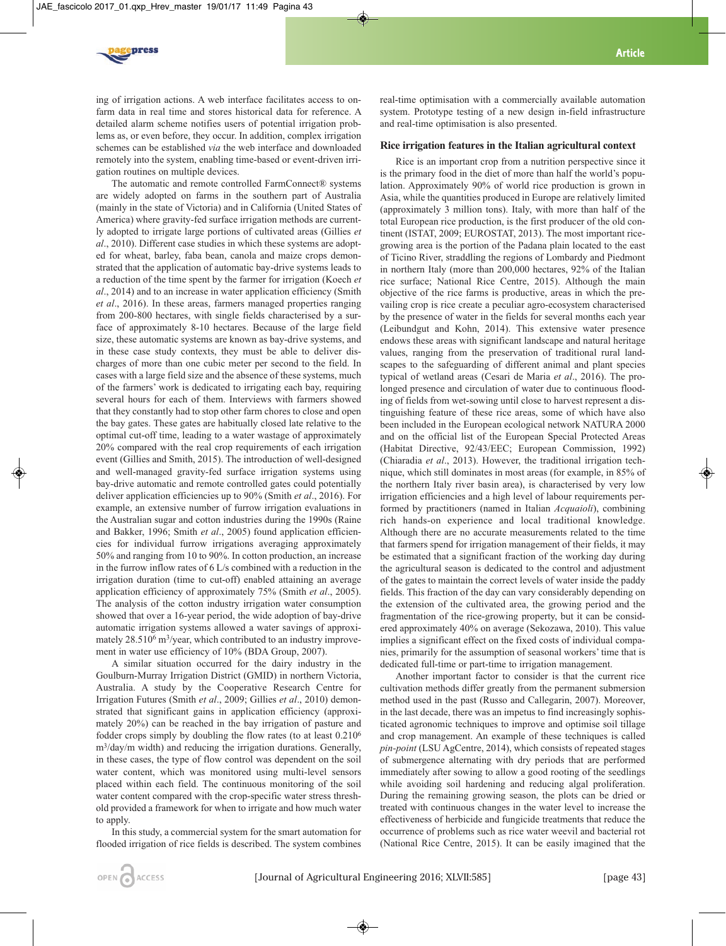

ing of irrigation actions. A web interface facilitates access to onfarm data in real time and stores historical data for reference. A detailed alarm scheme notifies users of potential irrigation problems as, or even before, they occur. In addition, complex irrigation schemes can be established *via* the web interface and downloaded remotely into the system, enabling time-based or event-driven irrigation routines on multiple devices.

The automatic and remote controlled FarmConnect® systems are widely adopted on farms in the southern part of Australia (mainly in the state of Victoria) and in California (United States of America) where gravity-fed surface irrigation methods are currently adopted to irrigate large portions of cultivated areas (Gillies *et al*., 2010). Different case studies in which these systems are adopted for wheat, barley, faba bean, canola and maize crops demonstrated that the application of automatic bay-drive systems leads to a reduction of the time spent by the farmer for irrigation (Koech *et al*., 2014) and to an increase in water application efficiency (Smith *et al*., 2016). In these areas, farmers managed properties ranging from 200-800 hectares, with single fields characterised by a surface of approximately 8-10 hectares. Because of the large field size, these automatic systems are known as bay-drive systems, and in these case study contexts, they must be able to deliver discharges of more than one cubic meter per second to the field. In cases with a large field size and the absence of these systems, much of the farmers' work is dedicated to irrigating each bay, requiring several hours for each of them. Interviews with farmers showed that they constantly had to stop other farm chores to close and open the bay gates. These gates are habitually closed late relative to the optimal cut-off time, leading to a water wastage of approximately 20% compared with the real crop requirements of each irrigation event (Gillies and Smith, 2015). The introduction of well-designed and well-managed gravity-fed surface irrigation systems using bay-drive automatic and remote controlled gates could potentially deliver application efficiencies up to 90% (Smith *et al*., 2016). For example, an extensive number of furrow irrigation evaluations in the Australian sugar and cotton industries during the 1990s (Raine and Bakker, 1996; Smith *et al*., 2005) found application efficiencies for individual furrow irrigations averaging approximately 50% and ranging from 10 to 90%. In cotton production, an increase in the furrow inflow rates of 6 L/s combined with a reduction in the irrigation duration (time to cut-off) enabled attaining an average application efficiency of approximately 75% (Smith *et al*., 2005). The analysis of the cotton industry irrigation water consumption showed that over a 16-year period, the wide adoption of bay-drive automatic irrigation systems allowed a water savings of approximately 28.510<sup>6</sup> m<sup>3</sup>/year, which contributed to an industry improvement in water use efficiency of 10% (BDA Group, 2007).

A similar situation occurred for the dairy industry in the Goulburn-Murray Irrigation District (GMID) in northern Victoria, Australia. A study by the Cooperative Research Centre for Irrigation Futures (Smith *et al*., 2009; Gillies *et al*., 2010) demonstrated that significant gains in application efficiency (approximately 20%) can be reached in the bay irrigation of pasture and fodder crops simply by doubling the flow rates (to at least 0.2106 m3/day/m width) and reducing the irrigation durations. Generally, in these cases, the type of flow control was dependent on the soil water content, which was monitored using multi-level sensors placed within each field. The continuous monitoring of the soil water content compared with the crop-specific water stress threshold provided a framework for when to irrigate and how much water to apply.

In this study, a commercial system for the smart automation for flooded irrigation of rice fields is described. The system combines real-time optimisation with a commercially available automation system. Prototype testing of a new design in-field infrastructure and real-time optimisation is also presented.

## **Rice irrigation features in the Italian agricultural context**

Rice is an important crop from a nutrition perspective since it is the primary food in the diet of more than half the world's population. Approximately 90% of world rice production is grown in Asia, while the quantities produced in Europe are relatively limited (approximately 3 million tons). Italy, with more than half of the total European rice production, is the first producer of the old continent (ISTAT, 2009; EUROSTAT, 2013). The most important ricegrowing area is the portion of the Padana plain located to the east of Ticino River, straddling the regions of Lombardy and Piedmont in northern Italy (more than 200,000 hectares, 92% of the Italian rice surface; National Rice Centre, 2015). Although the main objective of the rice farms is productive, areas in which the prevailing crop is rice create a peculiar agro-ecosystem characterised by the presence of water in the fields for several months each year (Leibundgut and Kohn, 2014). This extensive water presence endows these areas with significant landscape and natural heritage values, ranging from the preservation of traditional rural landscapes to the safeguarding of different animal and plant species typical of wetland areas (Cesari de Maria *et al*., 2016). The prolonged presence and circulation of water due to continuous flooding of fields from wet-sowing until close to harvest represent a distinguishing feature of these rice areas, some of which have also been included in the European ecological network NATURA 2000 and on the official list of the European Special Protected Areas (Habitat Directive, 92/43/EEC; European Commission, 1992) (Chiaradia *et al*., 2013). However, the traditional irrigation technique, which still dominates in most areas (for example, in 85% of the northern Italy river basin area), is characterised by very low irrigation efficiencies and a high level of labour requirements performed by practitioners (named in Italian *Acquaioli*), combining rich hands-on experience and local traditional knowledge. Although there are no accurate measurements related to the time that farmers spend for irrigation management of their fields, it may be estimated that a significant fraction of the working day during the agricultural season is dedicated to the control and adjustment of the gates to maintain the correct levels of water inside the paddy fields. This fraction of the day can vary considerably depending on the extension of the cultivated area, the growing period and the fragmentation of the rice-growing property, but it can be considered approximately 40% on average (Sekozawa, 2010). This value implies a significant effect on the fixed costs of individual companies, primarily for the assumption of seasonal workers' time that is dedicated full-time or part-time to irrigation management.

Another important factor to consider is that the current rice cultivation methods differ greatly from the permanent submersion method used in the past (Russo and Callegarin, 2007). Moreover, in the last decade, there was an impetus to find increasingly sophisticated agronomic techniques to improve and optimise soil tillage and crop management. An example of these techniques is called *pin-point* (LSU AgCentre, 2014), which consists of repeated stages of submergence alternating with dry periods that are performed immediately after sowing to allow a good rooting of the seedlings while avoiding soil hardening and reducing algal proliferation. During the remaining growing season, the plots can be dried or treated with continuous changes in the water level to increase the effectiveness of herbicide and fungicide treatments that reduce the occurrence of problems such as rice water weevil and bacterial rot (National Rice Centre, 2015). It can be easily imagined that the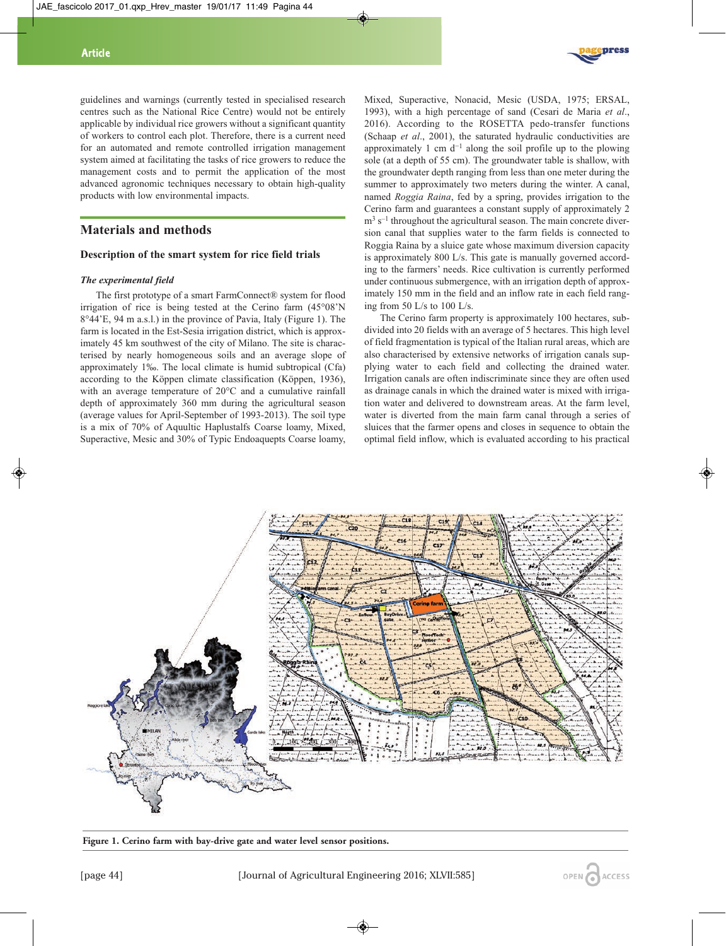**Article**



guidelines and warnings (currently tested in specialised research centres such as the National Rice Centre) would not be entirely applicable by individual rice growers without a significant quantity of workers to control each plot. Therefore, there is a current need for an automated and remote controlled irrigation management system aimed at facilitating the tasks of rice growers to reduce the management costs and to permit the application of the most advanced agronomic techniques necessary to obtain high-quality products with low environmental impacts.

## **Materials and methods**

## **Description of the smart system for rice field trials**

#### *The experimental field*

The first prototype of a smart FarmConnect® system for flood irrigation of rice is being tested at the Cerino farm (45°08'N 8°44'E, 94 m a.s.l.) in the province of Pavia, Italy (Figure 1). The farm is located in the Est-Sesia irrigation district, which is approximately 45 km southwest of the city of Milano. The site is characterised by nearly homogeneous soils and an average slope of approximately 1‰. The local climate is humid subtropical (Cfa) according to the Köppen climate classification (Köppen, 1936), with an average temperature of 20°C and a cumulative rainfall depth of approximately 360 mm during the agricultural season (average values for April-September of 1993-2013). The soil type is a mix of 70% of Aquultic Haplustalfs Coarse loamy, Mixed, Superactive, Mesic and 30% of Typic Endoaquepts Coarse loamy,

Mixed, Superactive, Nonacid, Mesic (USDA, 1975; ERSAL, 1993), with a high percentage of sand (Cesari de Maria *et al*., 2016). According to the ROSETTA pedo-transfer functions (Schaap *et al*., 2001), the saturated hydraulic conductivities are approximately 1 cm  $d^{-1}$  along the soil profile up to the plowing sole (at a depth of 55 cm). The groundwater table is shallow, with the groundwater depth ranging from less than one meter during the summer to approximately two meters during the winter. A canal, named *Roggia Raina*, fed by a spring, provides irrigation to the Cerino farm and guarantees a constant supply of approximately 2  $m<sup>3</sup>$  s<sup>-1</sup> throughout the agricultural season. The main concrete diversion canal that supplies water to the farm fields is connected to Roggia Raina by a sluice gate whose maximum diversion capacity is approximately 800 L/s. This gate is manually governed according to the farmers' needs. Rice cultivation is currently performed under continuous submergence, with an irrigation depth of approximately 150 mm in the field and an inflow rate in each field ranging from 50 L/s to 100 L/s.

The Cerino farm property is approximately 100 hectares, subdivided into 20 fields with an average of 5 hectares. This high level of field fragmentation is typical of the Italian rural areas, which are also characterised by extensive networks of irrigation canals supplying water to each field and collecting the drained water. Irrigation canals are often indiscriminate since they are often used as drainage canals in which the drained water is mixed with irrigation water and delivered to downstream areas. At the farm level, water is diverted from the main farm canal through a series of sluices that the farmer opens and closes in sequence to obtain the optimal field inflow, which is evaluated according to his practical



**Figure 1. Cerino farm with bay-drive gate and water level sensor positions.**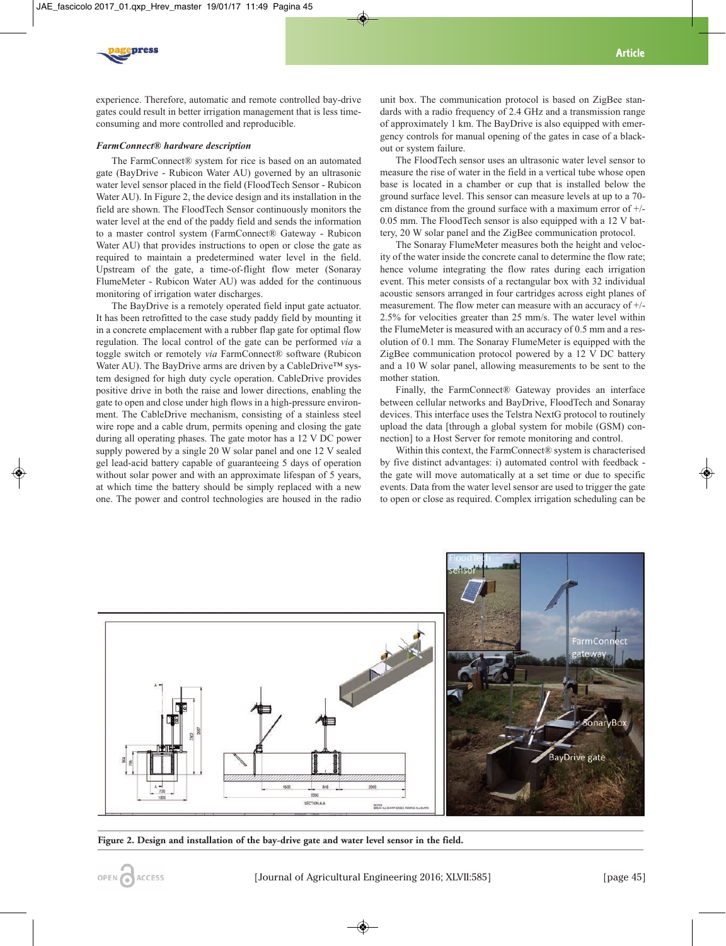

experience. Therefore, automatic and remote controlled bay-drive gates could result in better irrigation management that is less timeconsuming and more controlled and reproducible.

## *FarmConnect® hardware description*

The FarmConnect® system for rice is based on an automated gate (BayDrive - Rubicon Water AU) governed by an ultrasonic water level sensor placed in the field (FloodTech Sensor - Rubicon Water AU). In Figure 2, the device design and its installation in the field are shown. The FloodTech Sensor continuously monitors the water level at the end of the paddy field and sends the information to a master control system (FarmConnect® Gateway - Rubicon Water AU) that provides instructions to open or close the gate as required to maintain a predetermined water level in the field. Upstream of the gate, a time-of-flight flow meter (Sonaray FlumeMeter - Rubicon Water AU) was added for the continuous monitoring of irrigation water discharges.

The BayDrive is a remotely operated field input gate actuator. It has been retrofitted to the case study paddy field by mounting it in a concrete emplacement with a rubber flap gate for optimal flow regulation. The local control of the gate can be performed *via* a toggle switch or remotely *via* FarmConnect® software (Rubicon Water AU). The BayDrive arms are driven by a CableDrive™ system designed for high duty cycle operation. CableDrive provides positive drive in both the raise and lower directions, enabling the gate to open and close under high flows in a high-pressure environment. The CableDrive mechanism, consisting of a stainless steel wire rope and a cable drum, permits opening and closing the gate during all operating phases. The gate motor has a 12 V DC power supply powered by a single 20 W solar panel and one 12 V sealed gel lead-acid battery capable of guaranteeing 5 days of operation without solar power and with an approximate lifespan of 5 years, at which time the battery should be simply replaced with a new one. The power and control technologies are housed in the radio unit box. The communication protocol is based on ZigBee standards with a radio frequency of 2.4 GHz and a transmission range of approximately 1 km. The BayDrive is also equipped with emergency controls for manual opening of the gates in case of a blackout or system failure.

The FloodTech sensor uses an ultrasonic water level sensor to measure the rise of water in the field in a vertical tube whose open base is located in a chamber or cup that is installed below the ground surface level. This sensor can measure levels at up to a 70 cm distance from the ground surface with a maximum error of +/- 0.05 mm. The FloodTech sensor is also equipped with a 12 V battery, 20 W solar panel and the ZigBee communication protocol.

The Sonaray FlumeMeter measures both the height and velocity of the water inside the concrete canal to determine the flow rate; hence volume integrating the flow rates during each irrigation event. This meter consists of a rectangular box with 32 individual acoustic sensors arranged in four cartridges across eight planes of measurement. The flow meter can measure with an accuracy of +/- 2.5% for velocities greater than 25 mm/s. The water level within the FlumeMeter is measured with an accuracy of 0.5 mm and a resolution of 0.1 mm. The Sonaray FlumeMeter is equipped with the ZigBee communication protocol powered by a 12 V DC battery and a 10 W solar panel, allowing measurements to be sent to the mother station.

Finally, the FarmConnect® Gateway provides an interface between cellular networks and BayDrive, FloodTech and Sonaray devices. This interface uses the Telstra NextG protocol to routinely upload the data [through a global system for mobile (GSM) connection] to a Host Server for remote monitoring and control.

Within this context, the FarmConnect® system is characterised by five distinct advantages: i) automated control with feedback the gate will move automatically at a set time or due to specific events. Data from the water level sensor are used to trigger the gate to open or close as required. Complex irrigation scheduling can be



**Figure 2. Design and installation of the bay-drive gate and water level sensor in the field.**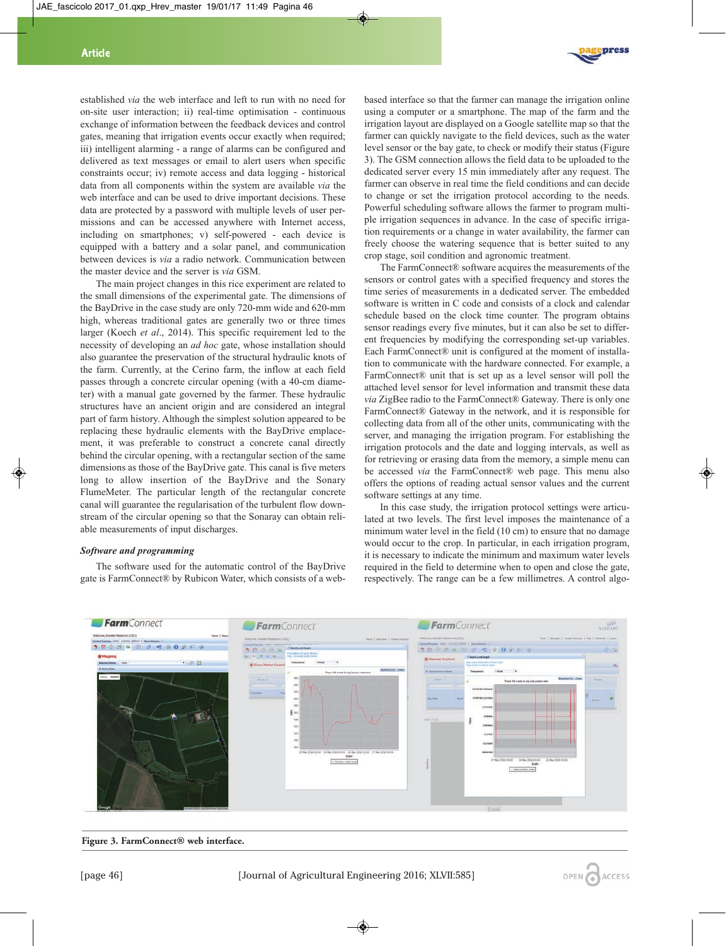established *via* the web interface and left to run with no need for on-site user interaction; ii) real-time optimisation - continuous exchange of information between the feedback devices and control gates, meaning that irrigation events occur exactly when required; iii) intelligent alarming - a range of alarms can be configured and delivered as text messages or email to alert users when specific constraints occur; iv) remote access and data logging - historical data from all components within the system are available *via* the web interface and can be used to drive important decisions. These data are protected by a password with multiple levels of user permissions and can be accessed anywhere with Internet access, including on smartphones; v) self-powered - each device is equipped with a battery and a solar panel, and communication between devices is *via* a radio network. Communication between the master device and the server is *via* GSM.

The main project changes in this rice experiment are related to the small dimensions of the experimental gate. The dimensions of the BayDrive in the case study are only 720-mm wide and 620-mm high, whereas traditional gates are generally two or three times larger (Koech *et al*., 2014). This specific requirement led to the necessity of developing an *ad hoc* gate, whose installation should also guarantee the preservation of the structural hydraulic knots of the farm. Currently, at the Cerino farm, the inflow at each field passes through a concrete circular opening (with a 40-cm diameter) with a manual gate governed by the farmer. These hydraulic structures have an ancient origin and are considered an integral part of farm history. Although the simplest solution appeared to be replacing these hydraulic elements with the BayDrive emplacement, it was preferable to construct a concrete canal directly behind the circular opening, with a rectangular section of the same dimensions as those of the BayDrive gate. This canal is five meters long to allow insertion of the BayDrive and the Sonary FlumeMeter. The particular length of the rectangular concrete canal will guarantee the regularisation of the turbulent flow downstream of the circular opening so that the Sonaray can obtain reliable measurements of input discharges.

## *Software and programming*

The software used for the automatic control of the BayDrive gate is FarmConnect® by Rubicon Water, which consists of a web-



based interface so that the farmer can manage the irrigation online using a computer or a smartphone. The map of the farm and the irrigation layout are displayed on a Google satellite map so that the farmer can quickly navigate to the field devices, such as the water level sensor or the bay gate, to check or modify their status (Figure 3). The GSM connection allows the field data to be uploaded to the dedicated server every 15 min immediately after any request. The farmer can observe in real time the field conditions and can decide to change or set the irrigation protocol according to the needs. Powerful scheduling software allows the farmer to program multiple irrigation sequences in advance. In the case of specific irrigation requirements or a change in water availability, the farmer can freely choose the watering sequence that is better suited to any crop stage, soil condition and agronomic treatment.

The FarmConnect® software acquires the measurements of the sensors or control gates with a specified frequency and stores the time series of measurements in a dedicated server. The embedded software is written in C code and consists of a clock and calendar schedule based on the clock time counter. The program obtains sensor readings every five minutes, but it can also be set to different frequencies by modifying the corresponding set-up variables. Each FarmConnect® unit is configured at the moment of installation to communicate with the hardware connected. For example, a FarmConnect® unit that is set up as a level sensor will poll the attached level sensor for level information and transmit these data *via* ZigBee radio to the FarmConnect® Gateway. There is only one FarmConnect® Gateway in the network, and it is responsible for collecting data from all of the other units, communicating with the server, and managing the irrigation program. For establishing the irrigation protocols and the date and logging intervals, as well as for retrieving or erasing data from the memory, a simple menu can be accessed *via* the FarmConnect® web page. This menu also offers the options of reading actual sensor values and the current software settings at any time.

In this case study, the irrigation protocol settings were articulated at two levels. The first level imposes the maintenance of a minimum water level in the field (10 cm) to ensure that no damage would occur to the crop. In particular, in each irrigation program, it is necessary to indicate the minimum and maximum water levels required in the field to determine when to open and close the gate, respectively. The range can be a few millimetres. A control algo-



**Figure 3. FarmConnect® web interface.**

[page 46] [Journal of Agricultural Engineering 2016; XLVII:585]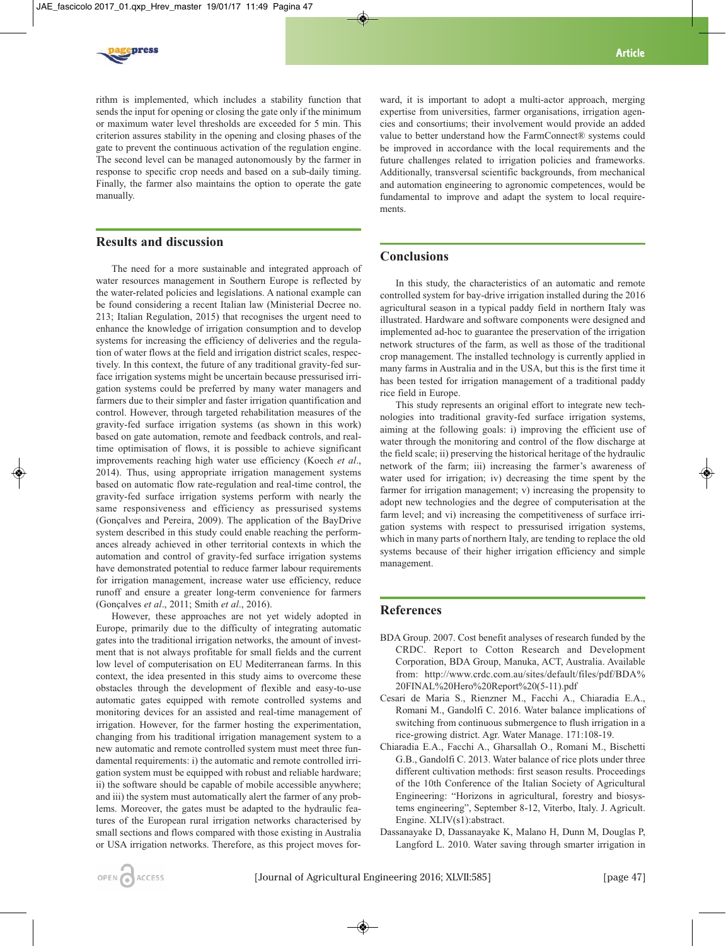

rithm is implemented, which includes a stability function that sends the input for opening or closing the gate only if the minimum or maximum water level thresholds are exceeded for 5 min. This criterion assures stability in the opening and closing phases of the gate to prevent the continuous activation of the regulation engine. The second level can be managed autonomously by the farmer in response to specific crop needs and based on a sub-daily timing. Finally, the farmer also maintains the option to operate the gate manually.

# **Results and discussion**

The need for a more sustainable and integrated approach of water resources management in Southern Europe is reflected by the water-related policies and legislations. A national example can be found considering a recent Italian law (Ministerial Decree no. 213; Italian Regulation, 2015) that recognises the urgent need to enhance the knowledge of irrigation consumption and to develop systems for increasing the efficiency of deliveries and the regulation of water flows at the field and irrigation district scales, respectively. In this context, the future of any traditional gravity-fed surface irrigation systems might be uncertain because pressurised irrigation systems could be preferred by many water managers and farmers due to their simpler and faster irrigation quantification and control. However, through targeted rehabilitation measures of the gravity-fed surface irrigation systems (as shown in this work) based on gate automation, remote and feedback controls, and realtime optimisation of flows, it is possible to achieve significant improvements reaching high water use efficiency (Koech *et al*., 2014). Thus, using appropriate irrigation management systems based on automatic flow rate-regulation and real-time control, the gravity-fed surface irrigation systems perform with nearly the same responsiveness and efficiency as pressurised systems (Gonçalves and Pereira, 2009). The application of the BayDrive system described in this study could enable reaching the performances already achieved in other territorial contexts in which the automation and control of gravity-fed surface irrigation systems have demonstrated potential to reduce farmer labour requirements for irrigation management, increase water use efficiency, reduce runoff and ensure a greater long-term convenience for farmers (Gonçalves *et al*., 2011; Smith *et al*., 2016).

However, these approaches are not yet widely adopted in Europe, primarily due to the difficulty of integrating automatic gates into the traditional irrigation networks, the amount of investment that is not always profitable for small fields and the current low level of computerisation on EU Mediterranean farms. In this context, the idea presented in this study aims to overcome these obstacles through the development of flexible and easy-to-use automatic gates equipped with remote controlled systems and monitoring devices for an assisted and real-time management of irrigation. However, for the farmer hosting the experimentation, changing from his traditional irrigation management system to a new automatic and remote controlled system must meet three fundamental requirements: i) the automatic and remote controlled irrigation system must be equipped with robust and reliable hardware; ii) the software should be capable of mobile accessible anywhere; and iii) the system must automatically alert the farmer of any problems. Moreover, the gates must be adapted to the hydraulic features of the European rural irrigation networks characterised by small sections and flows compared with those existing in Australia or USA irrigation networks. Therefore, as this project moves for-

ward, it is important to adopt a multi-actor approach, merging expertise from universities, farmer organisations, irrigation agencies and consortiums; their involvement would provide an added value to better understand how the FarmConnect® systems could be improved in accordance with the local requirements and the future challenges related to irrigation policies and frameworks. Additionally, transversal scientific backgrounds, from mechanical and automation engineering to agronomic competences, would be fundamental to improve and adapt the system to local requirements.

# **Conclusions**

In this study, the characteristics of an automatic and remote controlled system for bay-drive irrigation installed during the 2016 agricultural season in a typical paddy field in northern Italy was illustrated. Hardware and software components were designed and implemented ad-hoc to guarantee the preservation of the irrigation network structures of the farm, as well as those of the traditional crop management. The installed technology is currently applied in many farms in Australia and in the USA, but this is the first time it has been tested for irrigation management of a traditional paddy rice field in Europe.

This study represents an original effort to integrate new technologies into traditional gravity-fed surface irrigation systems, aiming at the following goals: i) improving the efficient use of water through the monitoring and control of the flow discharge at the field scale; ii) preserving the historical heritage of the hydraulic network of the farm; iii) increasing the farmer's awareness of water used for irrigation; iv) decreasing the time spent by the farmer for irrigation management; v) increasing the propensity to adopt new technologies and the degree of computerisation at the farm level; and vi) increasing the competitiveness of surface irrigation systems with respect to pressurised irrigation systems, which in many parts of northern Italy, are tending to replace the old systems because of their higher irrigation efficiency and simple management.

# **References**

- BDA Group. 2007. Cost benefit analyses of research funded by the CRDC. Report to Cotton Research and Development Corporation, BDA Group, Manuka, ACT, Australia. Available from: http://www.crdc.com.au/sites/default/files/pdf/BDA% 20FINAL%20Hero%20Report%20(5-11).pdf
- Cesari de Maria S., Rienzner M., Facchi A., Chiaradia E.A., Romani M., Gandolfi C. 2016. Water balance implications of switching from continuous submergence to flush irrigation in a rice-growing district. Agr. Water Manage. 171:108-19.
- Chiaradia E.A., Facchi A., Gharsallah O., Romani M., Bischetti G.B., Gandolfi C. 2013. Water balance of rice plots under three different cultivation methods: first season results. Proceedings of the 10th Conference of the Italian Society of Agricultural Engineering: "Horizons in agricultural, forestry and biosystems engineering", September 8-12, Viterbo, Italy. J. Agricult. Engine. XLIV(s1):abstract.
- Dassanayake D, Dassanayake K, Malano H, Dunn M, Douglas P, Langford L. 2010. Water saving through smarter irrigation in